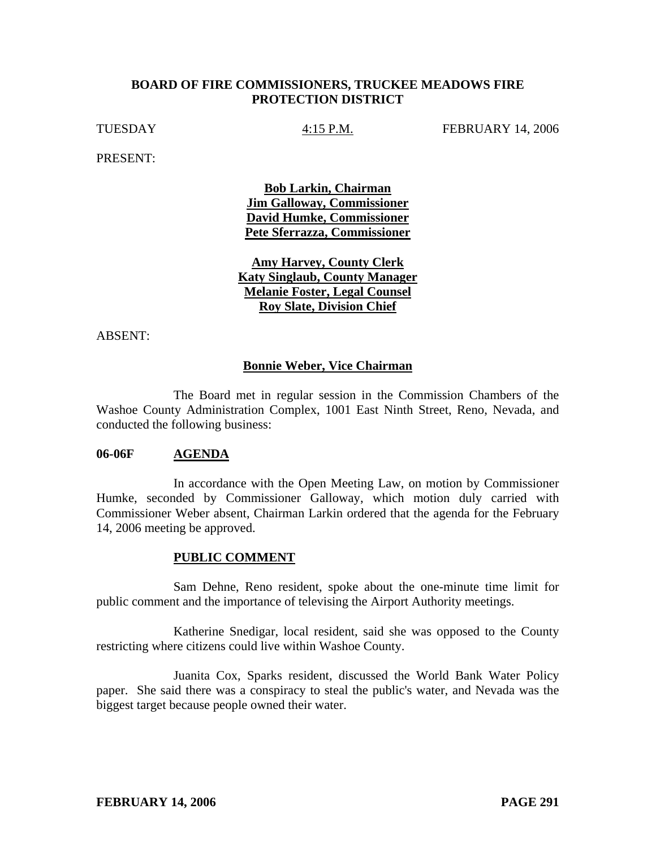# **BOARD OF FIRE COMMISSIONERS, TRUCKEE MEADOWS FIRE PROTECTION DISTRICT**

TUESDAY  $4:15$  P.M. FEBRUARY 14, 2006

PRESENT:

**Bob Larkin, Chairman Jim Galloway, Commissioner David Humke, Commissioner Pete Sferrazza, Commissioner**

**Amy Harvey, County Clerk Katy Singlaub, County Manager Melanie Foster, Legal Counsel Roy Slate, Division Chief**

ABSENT:

# **Bonnie Weber, Vice Chairman**

 The Board met in regular session in the Commission Chambers of the Washoe County Administration Complex, 1001 East Ninth Street, Reno, Nevada, and conducted the following business:

### **06-06F AGENDA**

 In accordance with the Open Meeting Law, on motion by Commissioner Humke, seconded by Commissioner Galloway, which motion duly carried with Commissioner Weber absent, Chairman Larkin ordered that the agenda for the February 14, 2006 meeting be approved.

### **PUBLIC COMMENT**

 Sam Dehne, Reno resident, spoke about the one-minute time limit for public comment and the importance of televising the Airport Authority meetings.

 Katherine Snedigar, local resident, said she was opposed to the County restricting where citizens could live within Washoe County.

 Juanita Cox, Sparks resident, discussed the World Bank Water Policy paper. She said there was a conspiracy to steal the public's water, and Nevada was the biggest target because people owned their water.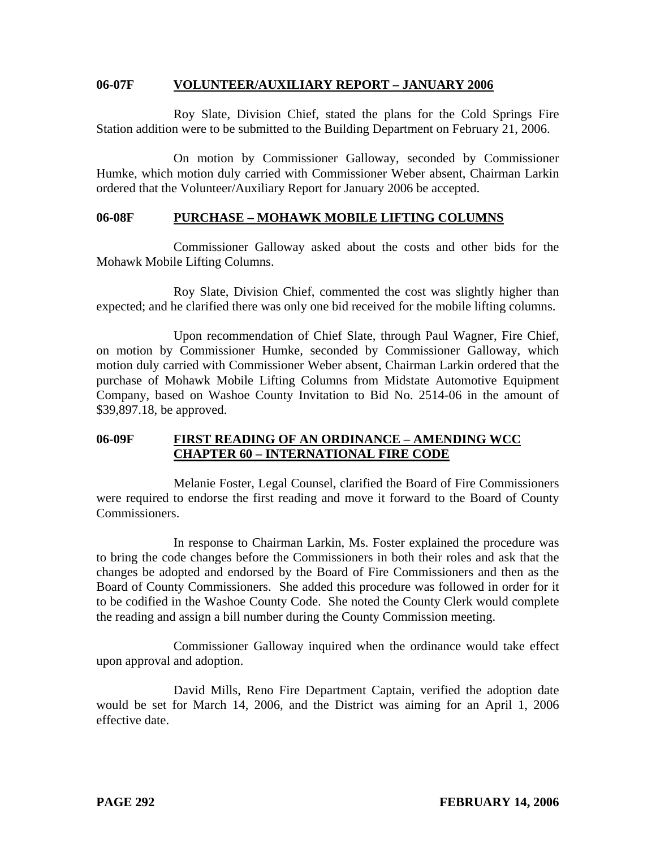### **06-07F VOLUNTEER/AUXILIARY REPORT – JANUARY 2006**

 Roy Slate, Division Chief, stated the plans for the Cold Springs Fire Station addition were to be submitted to the Building Department on February 21, 2006.

 On motion by Commissioner Galloway, seconded by Commissioner Humke, which motion duly carried with Commissioner Weber absent, Chairman Larkin ordered that the Volunteer/Auxiliary Report for January 2006 be accepted.

## **06-08F PURCHASE – MOHAWK MOBILE LIFTING COLUMNS**

 Commissioner Galloway asked about the costs and other bids for the Mohawk Mobile Lifting Columns.

 Roy Slate, Division Chief, commented the cost was slightly higher than expected; and he clarified there was only one bid received for the mobile lifting columns.

 Upon recommendation of Chief Slate, through Paul Wagner, Fire Chief, on motion by Commissioner Humke, seconded by Commissioner Galloway, which motion duly carried with Commissioner Weber absent, Chairman Larkin ordered that the purchase of Mohawk Mobile Lifting Columns from Midstate Automotive Equipment Company, based on Washoe County Invitation to Bid No. 2514-06 in the amount of \$39,897.18, be approved.

# **06-09F FIRST READING OF AN ORDINANCE – AMENDING WCC CHAPTER 60 – INTERNATIONAL FIRE CODE**

 Melanie Foster, Legal Counsel, clarified the Board of Fire Commissioners were required to endorse the first reading and move it forward to the Board of County Commissioners.

 In response to Chairman Larkin, Ms. Foster explained the procedure was to bring the code changes before the Commissioners in both their roles and ask that the changes be adopted and endorsed by the Board of Fire Commissioners and then as the Board of County Commissioners. She added this procedure was followed in order for it to be codified in the Washoe County Code. She noted the County Clerk would complete the reading and assign a bill number during the County Commission meeting.

 Commissioner Galloway inquired when the ordinance would take effect upon approval and adoption.

 David Mills, Reno Fire Department Captain, verified the adoption date would be set for March 14, 2006, and the District was aiming for an April 1, 2006 effective date.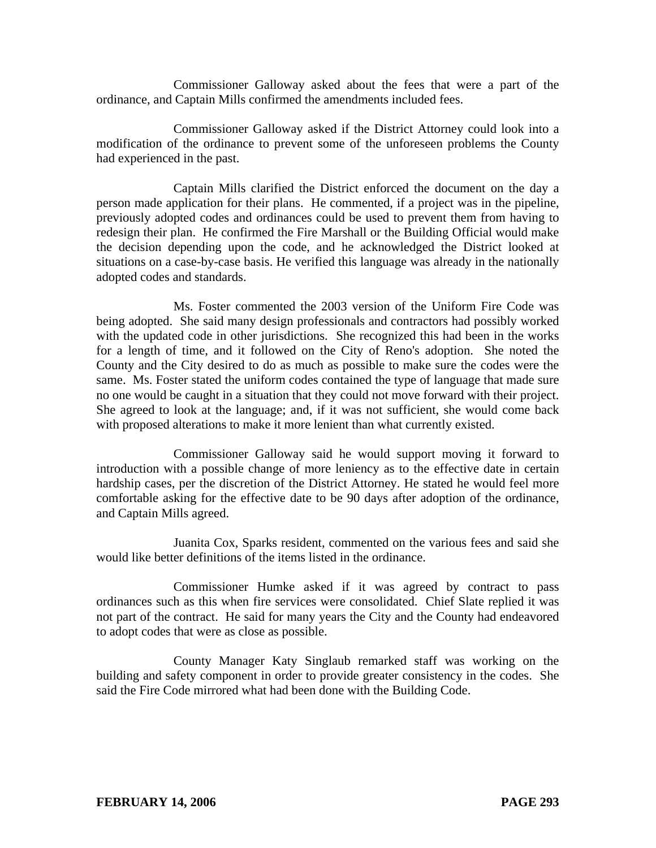Commissioner Galloway asked about the fees that were a part of the ordinance, and Captain Mills confirmed the amendments included fees.

 Commissioner Galloway asked if the District Attorney could look into a modification of the ordinance to prevent some of the unforeseen problems the County had experienced in the past.

 Captain Mills clarified the District enforced the document on the day a person made application for their plans. He commented, if a project was in the pipeline, previously adopted codes and ordinances could be used to prevent them from having to redesign their plan. He confirmed the Fire Marshall or the Building Official would make the decision depending upon the code, and he acknowledged the District looked at situations on a case-by-case basis. He verified this language was already in the nationally adopted codes and standards.

 Ms. Foster commented the 2003 version of the Uniform Fire Code was being adopted. She said many design professionals and contractors had possibly worked with the updated code in other jurisdictions. She recognized this had been in the works for a length of time, and it followed on the City of Reno's adoption. She noted the County and the City desired to do as much as possible to make sure the codes were the same. Ms. Foster stated the uniform codes contained the type of language that made sure no one would be caught in a situation that they could not move forward with their project. She agreed to look at the language; and, if it was not sufficient, she would come back with proposed alterations to make it more lenient than what currently existed.

 Commissioner Galloway said he would support moving it forward to introduction with a possible change of more leniency as to the effective date in certain hardship cases, per the discretion of the District Attorney. He stated he would feel more comfortable asking for the effective date to be 90 days after adoption of the ordinance, and Captain Mills agreed.

 Juanita Cox, Sparks resident, commented on the various fees and said she would like better definitions of the items listed in the ordinance.

 Commissioner Humke asked if it was agreed by contract to pass ordinances such as this when fire services were consolidated. Chief Slate replied it was not part of the contract. He said for many years the City and the County had endeavored to adopt codes that were as close as possible.

 County Manager Katy Singlaub remarked staff was working on the building and safety component in order to provide greater consistency in the codes. She said the Fire Code mirrored what had been done with the Building Code.